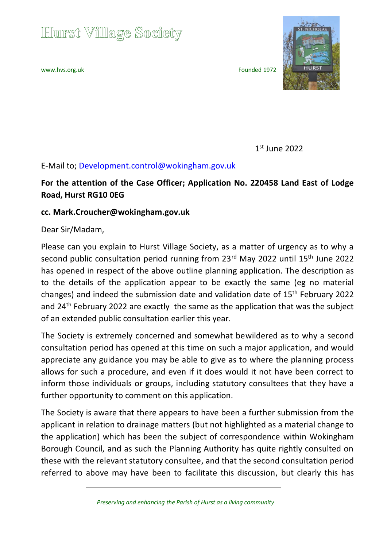## **Hurst Village Society**

[www.hvs.org.uk](http://www.hvs.org.uk/) extending the state of the state of the Founded 1972



 1  $1<sup>st</sup>$  June 2022

## E-Mail to; [Development.control@wokingham.gov.uk](mailto:Development.control@wokingham.gov.uk)

## **For the attention of the Case Officer; Application No. 220458 Land East of Lodge Road, Hurst RG10 0EG**

## **cc. Mark.Croucher@wokingham.gov.uk**

Dear Sir/Madam,

Please can you explain to Hurst Village Society, as a matter of urgency as to why a second public consultation period running from 23<sup>rd</sup> May 2022 until 15<sup>th</sup> June 2022 has opened in respect of the above outline planning application. The description as to the details of the application appear to be exactly the same (eg no material changes) and indeed the submission date and validation date of 15th February 2022 and 24<sup>th</sup> February 2022 are exactly the same as the application that was the subject of an extended public consultation earlier this year.

The Society is extremely concerned and somewhat bewildered as to why a second consultation period has opened at this time on such a major application, and would appreciate any guidance you may be able to give as to where the planning process allows for such a procedure, and even if it does would it not have been correct to inform those individuals or groups, including statutory consultees that they have a further opportunity to comment on this application.

The Society is aware that there appears to have been a further submission from the applicant in relation to drainage matters (but not highlighted as a material change to the application) which has been the subject of correspondence within Wokingham Borough Council, and as such the Planning Authority has quite rightly consulted on these with the relevant statutory consultee, and that the second consultation period referred to above may have been to facilitate this discussion, but clearly this has

 *Preserving and enhancing the Parish of Hurst as a living community*